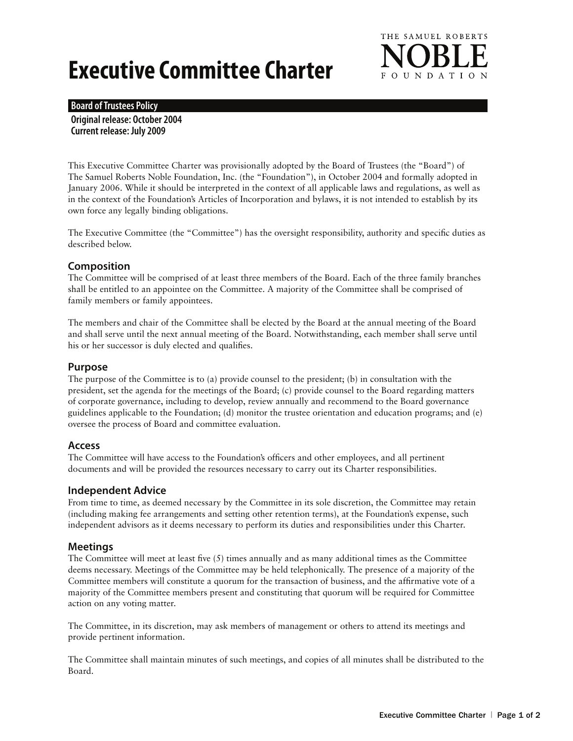# **Executive Committee Charter**



#### **Board of Trustees Policy**

**Original release: October 2004 Current release: July 2009**

This Executive Committee Charter was provisionally adopted by the Board of Trustees (the "Board") of The Samuel Roberts Noble Foundation, Inc. (the "Foundation"), in October 2004 and formally adopted in January 2006. While it should be interpreted in the context of all applicable laws and regulations, as well as in the context of the Foundation's Articles of Incorporation and bylaws, it is not intended to establish by its own force any legally binding obligations.

The Executive Committee (the "Committee") has the oversight responsibility, authority and specific duties as described below.

#### **Composition**

The Committee will be comprised of at least three members of the Board. Each of the three family branches shall be entitled to an appointee on the Committee. A majority of the Committee shall be comprised of family members or family appointees.

The members and chair of the Committee shall be elected by the Board at the annual meeting of the Board and shall serve until the next annual meeting of the Board. Notwithstanding, each member shall serve until his or her successor is duly elected and qualifies.

#### **Purpose**

The purpose of the Committee is to (a) provide counsel to the president; (b) in consultation with the president, set the agenda for the meetings of the Board; (c) provide counsel to the Board regarding matters of corporate governance, including to develop, review annually and recommend to the Board governance guidelines applicable to the Foundation; (d) monitor the trustee orientation and education programs; and (e) oversee the process of Board and committee evaluation.

#### **Access**

The Committee will have access to the Foundation's officers and other employees, and all pertinent documents and will be provided the resources necessary to carry out its Charter responsibilities.

#### **Independent Advice**

From time to time, as deemed necessary by the Committee in its sole discretion, the Committee may retain (including making fee arrangements and setting other retention terms), at the Foundation's expense, such independent advisors as it deems necessary to perform its duties and responsibilities under this Charter.

#### **Meetings**

The Committee will meet at least five (5) times annually and as many additional times as the Committee deems necessary. Meetings of the Committee may be held telephonically. The presence of a majority of the Committee members will constitute a quorum for the transaction of business, and the affirmative vote of a majority of the Committee members present and constituting that quorum will be required for Committee action on any voting matter.

The Committee, in its discretion, may ask members of management or others to attend its meetings and provide pertinent information.

The Committee shall maintain minutes of such meetings, and copies of all minutes shall be distributed to the Board.